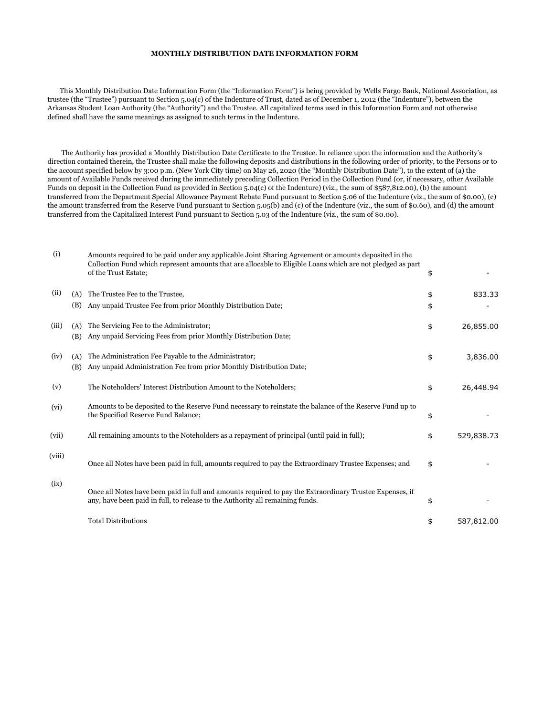## **MONTHLY DISTRIBUTION DATE INFORMATION FORM**

 This Monthly Distribution Date Information Form (the "Information Form") is being provided by Wells Fargo Bank, National Association, as trustee (the "Trustee") pursuant to Section 5.04(c) of the Indenture of Trust, dated as of December 1, 2012 (the "Indenture"), between the Arkansas Student Loan Authority (the "Authority") and the Trustee. All capitalized terms used in this Information Form and not otherwise defined shall have the same meanings as assigned to such terms in the Indenture.

 The Authority has provided a Monthly Distribution Date Certificate to the Trustee. In reliance upon the information and the Authority's direction contained therein, the Trustee shall make the following deposits and distributions in the following order of priority, to the Persons or to the account specified below by 3:00 p.m. (New York City time) on May 26, 2020 (the "Monthly Distribution Date"), to the extent of (a) the amount of Available Funds received during the immediately preceding Collection Period in the Collection Fund (or, if necessary, other Available Funds on deposit in the Collection Fund as provided in Section 5.04(c) of the Indenture) (viz., the sum of \$587,812.00), (b) the amount transferred from the Department Special Allowance Payment Rebate Fund pursuant to Section 5.06 of the Indenture (viz., the sum of \$0.00), (c) the amount transferred from the Reserve Fund pursuant to Section 5.05(b) and (c) of the Indenture (viz., the sum of \$0.60), and (d) the amount transferred from the Capitalized Interest Fund pursuant to Section 5.03 of the Indenture (viz., the sum of \$0.00).

| (i)    |            | Amounts required to be paid under any applicable Joint Sharing Agreement or amounts deposited in the<br>Collection Fund which represent amounts that are allocable to Eligible Loans which are not pledged as part<br>of the Trust Estate; | \$       |            |
|--------|------------|--------------------------------------------------------------------------------------------------------------------------------------------------------------------------------------------------------------------------------------------|----------|------------|
| (ii)   | (A)<br>(B) | The Trustee Fee to the Trustee,<br>Any unpaid Trustee Fee from prior Monthly Distribution Date;                                                                                                                                            | \$<br>\$ | 833.33     |
| (iii)  | (A)<br>(B) | The Servicing Fee to the Administrator;<br>Any unpaid Servicing Fees from prior Monthly Distribution Date;                                                                                                                                 | \$       | 26,855.00  |
| (iv)   | (A)<br>(B) | The Administration Fee Payable to the Administrator;<br>Any unpaid Administration Fee from prior Monthly Distribution Date;                                                                                                                | \$       | 3,836.00   |
| (v)    |            | The Noteholders' Interest Distribution Amount to the Noteholders;                                                                                                                                                                          | \$       | 26,448.94  |
| (vi)   |            | Amounts to be deposited to the Reserve Fund necessary to reinstate the balance of the Reserve Fund up to<br>the Specified Reserve Fund Balance;                                                                                            | \$       |            |
| (vii)  |            | All remaining amounts to the Noteholders as a repayment of principal (until paid in full);                                                                                                                                                 | \$       | 529,838.73 |
| (viii) |            | Once all Notes have been paid in full, amounts required to pay the Extraordinary Trustee Expenses; and                                                                                                                                     | \$       |            |
| (ix)   |            | Once all Notes have been paid in full and amounts required to pay the Extraordinary Trustee Expenses, if<br>any, have been paid in full, to release to the Authority all remaining funds.                                                  | \$       |            |
|        |            | <b>Total Distributions</b>                                                                                                                                                                                                                 | \$       | 587,812.00 |